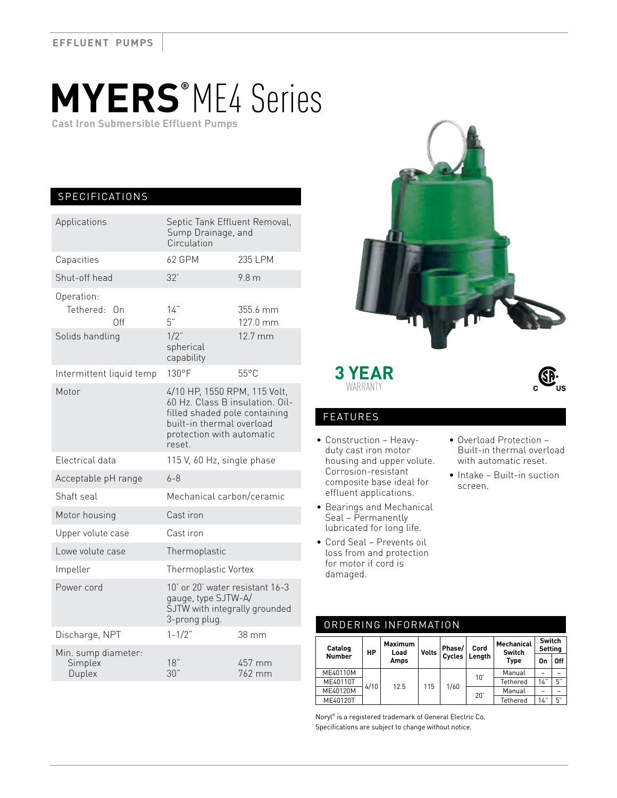# **MYERS®** ME4 Series

 **Cast Iron Submersible Effluent Pumps**

## SPECIFICATIONS

| Applications                             | Septic Tank Effluent Removal,<br>Sump Drainage, and<br>Circulation                                                                                                   |                      |  |  |  |
|------------------------------------------|----------------------------------------------------------------------------------------------------------------------------------------------------------------------|----------------------|--|--|--|
| Capacities                               | 62 GPM                                                                                                                                                               | 235 LPM              |  |  |  |
| Shut-off head                            | 32'                                                                                                                                                                  | 9.8 <sub>m</sub>     |  |  |  |
| Operation:<br>Tethered:<br>On<br>Off     | 14"<br>5"                                                                                                                                                            | 355.6 mm<br>127.0 mm |  |  |  |
| Solids handling                          | $1/2$ "<br>spherical<br>capability                                                                                                                                   | 12.7 mm              |  |  |  |
| Intermittent liquid temp                 | $130^{\circ}F$                                                                                                                                                       | $55^{\circ}$ C       |  |  |  |
| Motor                                    | 4/10 HP, 1550 RPM, 115 Volt,<br>60 Hz. Class B insulation. Oil-<br>filled shaded pole containing<br>built-in thermal overload<br>protection with automatic<br>reset. |                      |  |  |  |
| Electrical data                          | 115 V, 60 Hz, single phase                                                                                                                                           |                      |  |  |  |
| Acceptable pH range                      | $6 - 8$                                                                                                                                                              |                      |  |  |  |
| Shaft seal                               | Mechanical carbon/ceramic                                                                                                                                            |                      |  |  |  |
| Motor housing                            | Cast iron                                                                                                                                                            |                      |  |  |  |
| Upper volute case                        | Cast iron                                                                                                                                                            |                      |  |  |  |
| Lowe volute case                         | Thermoplastic                                                                                                                                                        |                      |  |  |  |
| Impeller                                 | Thermoplastic Vortex                                                                                                                                                 |                      |  |  |  |
| Power cord                               | 10' or 20' water resistant 16-3<br>gauge, type SJTW-A/<br>SJTW with integrally grounded<br>3-prong plug.                                                             |                      |  |  |  |
| Discharge, NPT                           | $1 - 1/2$ "                                                                                                                                                          | 38 mm                |  |  |  |
| Min. sump diameter:<br>Simplex<br>Duplex | 18"<br>30"                                                                                                                                                           | 457 mm<br>762 mm     |  |  |  |



### **3 YEAR** WARRANTY



### FEATURES

- Construction Heavyduty cast iron motor housing and upper volute. Corrosion-resistant composite base ideal for effluent applications.
- Bearings and Mechanical Seal – Permanently lubricated for long life.
- Cord Seal Prevents oil loss from and protection for motor if cord is damaged.
- Overload Protection Built-in thermal overload with automatic reset.
- Intake Built-in suction screen.

| ORDERING INFORMATION           |      |                 |              |        |             |                             |                          |    |  |  |
|--------------------------------|------|-----------------|--------------|--------|-------------|-----------------------------|--------------------------|----|--|--|
| Catalog<br>НP<br><b>Number</b> |      | Maximum<br>Load | <b>Volts</b> | Phase/ | Cord        | <b>Mechanical</b><br>Switch | Switch<br><b>Setting</b> |    |  |  |
|                                | Amps |                 | Cycles       | Lenath | <b>Type</b> | On                          | Off                      |    |  |  |
| ME40110M                       | 4/10 | 12.5            | 115          | 1/60   | 10'         | Manual                      |                          | -  |  |  |
| ME40110T                       |      |                 |              |        |             | Tethered                    | 14"                      | 5" |  |  |
| ME40120M                       |      |                 |              |        | 20'         | Manual                      |                          | -  |  |  |
| ME40120T                       |      |                 |              |        |             | Tethered                    | 14"                      | 5" |  |  |
|                                |      |                 |              |        |             |                             |                          |    |  |  |

Noryl® is a registered trademark of General Electric Co. Specifications are subject to change without notice.